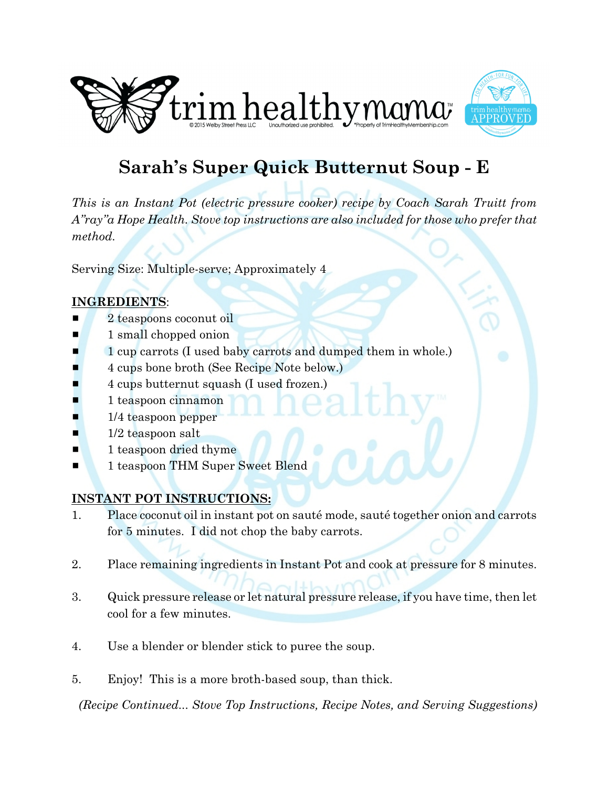



# **Sarah's Super Quick Butternut Soup - E**

*This is an Instant Pot (electric pressure cooker) recipe by Coach Sarah Truitt from A"ray"a Hope Health. Stove top instructions are also included for those who prefer that method.* 

Serving Size: Multiple-serve; Approximately 4

## **INGREDIENTS**:

- 2 teaspoons coconut oil
- $\blacksquare$  1 small chopped onion
- 1 cup carrots (I used baby carrots and dumped them in whole.)
- # 4 cups bone broth (See Recipe Note below.)
- 4 cups butternut squash (I used frozen.)
- 1 teaspoon cinnamon
- 1/4 teaspoon pepper
- $\blacksquare$  1/2 teaspoon salt
- $\blacksquare$  1 teaspoon dried thyme
- **1** 1 teaspoon THM Super Sweet Blend

# **INSTANT POT INSTRUCTIONS:**

- 1. Place coconut oil in instant pot on sauté mode, sauté together onion and carrots for 5 minutes. I did not chop the baby carrots.
- 2. Place remaining ingredients in Instant Pot and cook at pressure for 8 minutes.
- 3. Quick pressure release or let natural pressure release, if you have time, then let cool for a few minutes.
- 4. Use a blender or blender stick to puree the soup.
- 5. Enjoy! This is a more broth-based soup, than thick.

*(Recipe Continued... Stove Top Instructions, Recipe Notes, and Serving Suggestions)*